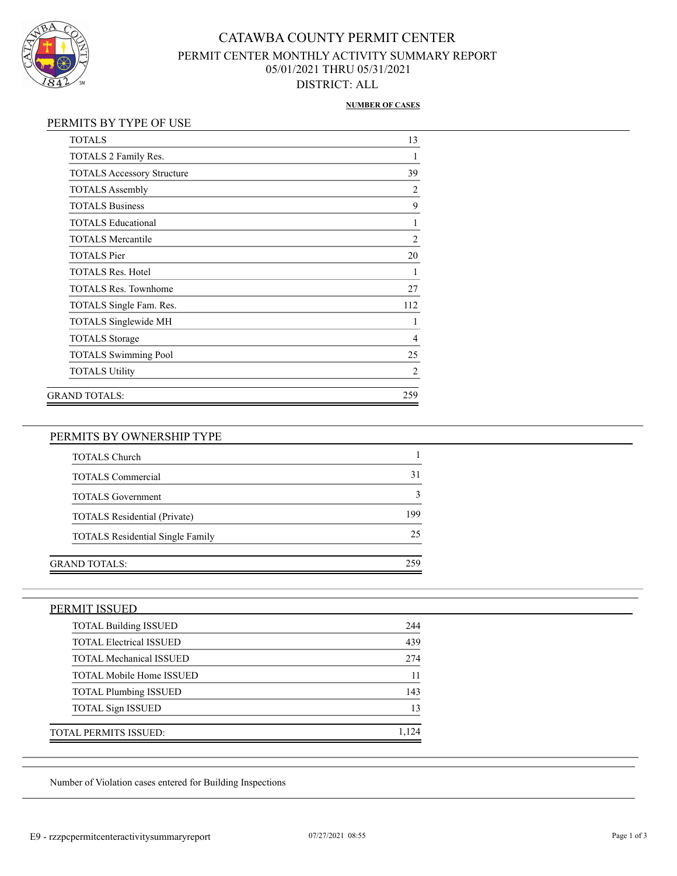

## CATAWBA COUNTY PERMIT CENTER PERMIT CENTER MONTHLY ACTIVITY SUMMARY REPORT 05/01/2021 THRU 05/31/2021 DISTRICT: ALL

#### **NUMBER OF CASES**

| <b>TOTALS</b>                     | 13             |
|-----------------------------------|----------------|
| TOTALS 2 Family Res.              |                |
| <b>TOTALS Accessory Structure</b> | 39             |
| <b>TOTALS</b> Assembly            | $\overline{2}$ |
| <b>TOTALS Business</b>            | 9              |
| <b>TOTALS Educational</b>         | 1              |
| <b>TOTALS Mercantile</b>          | $\overline{2}$ |
| <b>TOTALS</b> Pier                | 20             |
| <b>TOTALS Res. Hotel</b>          | 1              |
| <b>TOTALS Res. Townhome</b>       | 27             |
| TOTALS Single Fam. Res.           | 112            |
| TOTALS Singlewide MH              |                |
| <b>TOTALS</b> Storage             | 4              |
| <b>TOTALS Swimming Pool</b>       | 25             |
| <b>TOTALS Utility</b>             | 2              |
| GRAND TOTALS:                     | 259            |

#### PERMITS BY OWNERSHIP TYPE

| <b>TOTALS Church</b>                    |     |
|-----------------------------------------|-----|
| <b>TOTALS Commercial</b>                | 31  |
| <b>TOTALS</b> Government                |     |
| <b>TOTALS</b> Residential (Private)     | 199 |
| <b>TOTALS</b> Residential Single Family | 25  |
|                                         |     |
| GRAND TOTALS:                           | 259 |

### PERMIT ISSUED

| <b>TOTAL Building ISSUED</b>    | 244 |
|---------------------------------|-----|
| <b>TOTAL Electrical ISSUED</b>  | 439 |
| <b>TOTAL Mechanical ISSUED</b>  | 274 |
| <b>TOTAL Mobile Home ISSUED</b> |     |
| <b>TOTAL Plumbing ISSUED</b>    | 143 |
| <b>TOTAL Sign ISSUED</b>        | 13  |
| TOTAL PERMITS ISSUED:           |     |

Number of Violation cases entered for Building Inspections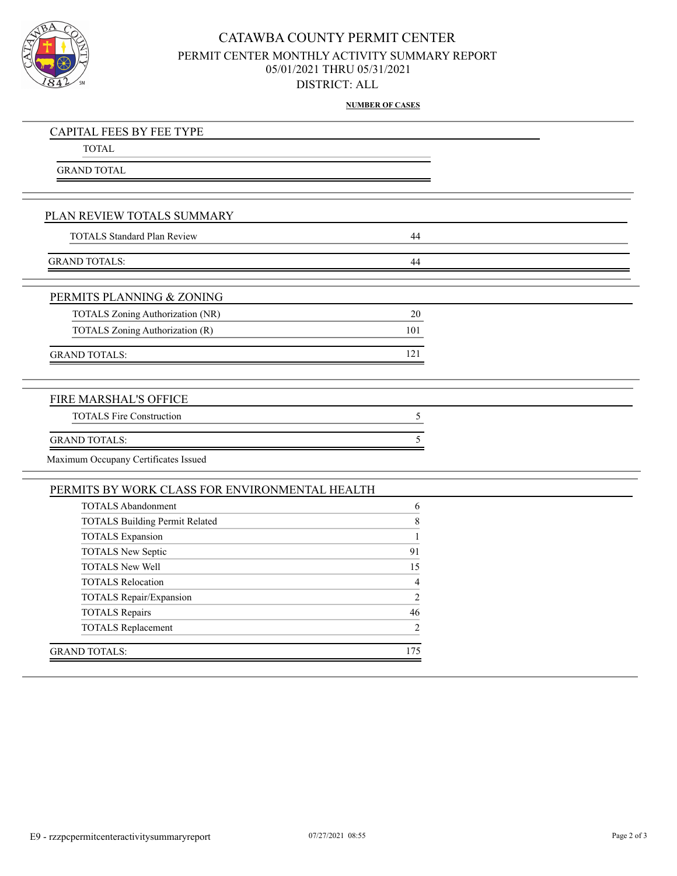

## CATAWBA COUNTY PERMIT CENTER PERMIT CENTER MONTHLY ACTIVITY SUMMARY REPORT 05/01/2021 THRU 05/31/2021 DISTRICT: ALL

**NUMBER OF CASES**

| <b>CAPITAL FEES BY FEE TYPE</b>                |                |  |
|------------------------------------------------|----------------|--|
| <b>TOTAL</b>                                   |                |  |
| <b>GRAND TOTAL</b>                             |                |  |
|                                                |                |  |
|                                                |                |  |
| PLAN REVIEW TOTALS SUMMARY                     |                |  |
| <b>TOTALS Standard Plan Review</b>             | 44             |  |
|                                                |                |  |
| <b>GRAND TOTALS:</b>                           | 44             |  |
| PERMITS PLANNING & ZONING                      |                |  |
| TOTALS Zoning Authorization (NR)               | $20\,$         |  |
| TOTALS Zoning Authorization (R)                | 101            |  |
|                                                |                |  |
| <b>GRAND TOTALS:</b>                           | 121            |  |
|                                                |                |  |
| FIRE MARSHAL'S OFFICE                          |                |  |
| <b>TOTALS Fire Construction</b>                | 5              |  |
| <b>GRAND TOTALS:</b>                           | 5              |  |
| Maximum Occupany Certificates Issued           |                |  |
| PERMITS BY WORK CLASS FOR ENVIRONMENTAL HEALTH |                |  |
| <b>TOTALS Abandonment</b>                      | 6              |  |
| <b>TOTALS Building Permit Related</b>          | $\,8\,$        |  |
| <b>TOTALS</b> Expansion                        | $\mathbf{1}$   |  |
| TOTALS New Septic                              | 91             |  |
| <b>TOTALS New Well</b>                         | 15             |  |
| <b>TOTALS Relocation</b>                       | 4              |  |
| TOTALS Repair/Expansion                        | $\overline{2}$ |  |
| TOTALS Repairs                                 | 46             |  |
| <b>TOTALS Replacement</b>                      | $\overline{c}$ |  |
| <b>GRAND TOTALS:</b>                           | 175            |  |
|                                                |                |  |